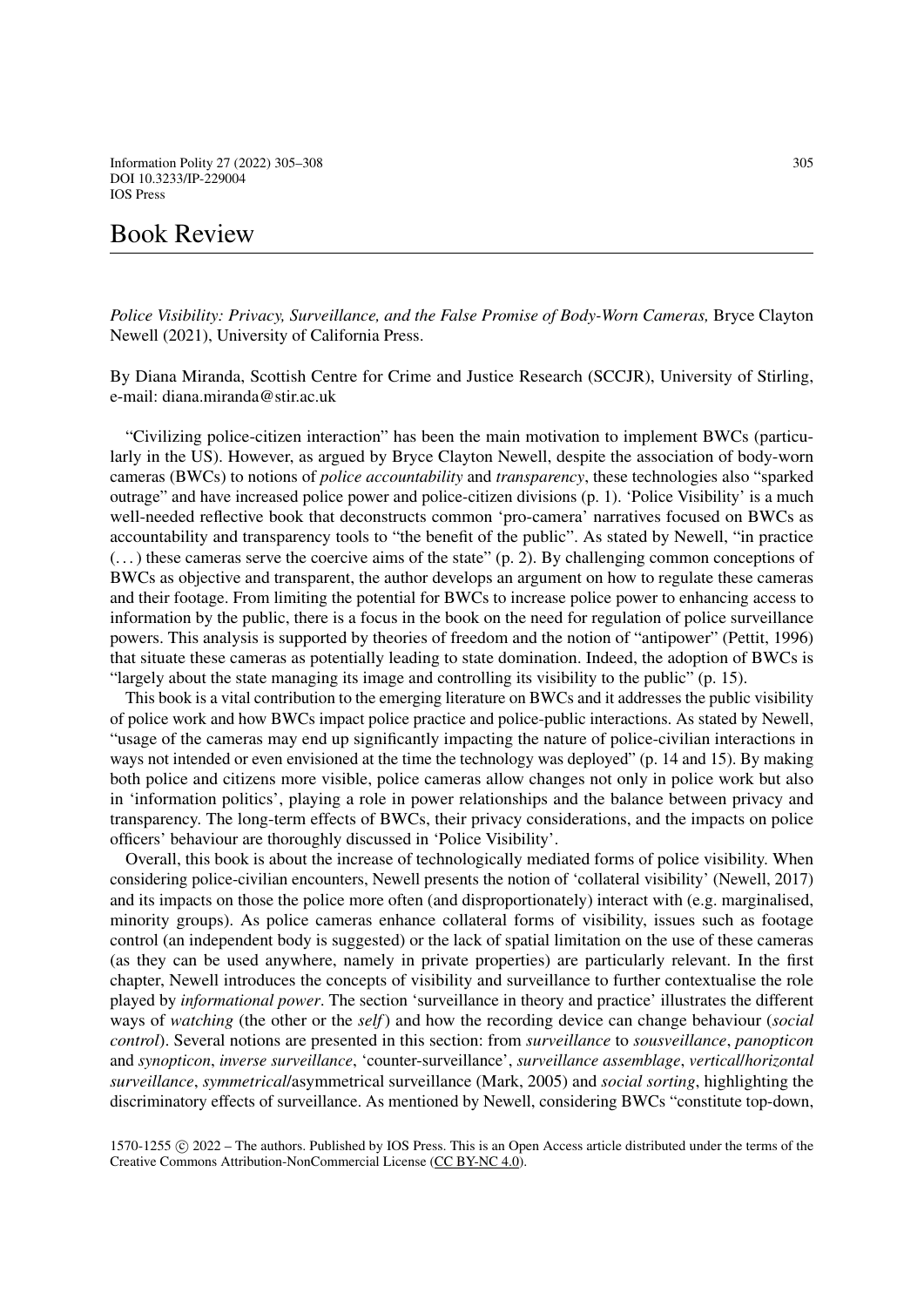*Police Visibility: Privacy, Surveillance, and the False Promise of Body-Worn Cameras,* Bryce Clayton Newell (2021), University of California Press.

By Diana Miranda, Scottish Centre for Crime and Justice Research (SCCJR), University of Stirling, e-mail: diana.miranda@stir.ac.uk

"Civilizing police-citizen interaction" has been the main motivation to implement BWCs (particularly in the US). However, as argued by Bryce Clayton Newell, despite the association of body-worn cameras (BWCs) to notions of *police accountability* and *transparency*, these technologies also "sparked outrage" and have increased police power and police-citizen divisions (p. 1). 'Police Visibility' is a much well-needed reflective book that deconstructs common 'pro-camera' narratives focused on BWCs as accountability and transparency tools to "the benefit of the public". As stated by Newell, "in practice  $(\dots)$  these cameras serve the coercive aims of the state" (p. 2). By challenging common conceptions of BWCs as objective and transparent, the author develops an argument on how to regulate these cameras and their footage. From limiting the potential for BWCs to increase police power to enhancing access to information by the public, there is a focus in the book on the need for regulation of police surveillance powers. This analysis is supported by theories of freedom and the notion of "antipower" (Pettit, 1996) that situate these cameras as potentially leading to state domination. Indeed, the adoption of BWCs is "largely about the state managing its image and controlling its visibility to the public" (p. 15).

This book is a vital contribution to the emerging literature on BWCs and it addresses the public visibility of police work and how BWCs impact police practice and police-public interactions. As stated by Newell, "usage of the cameras may end up significantly impacting the nature of police-civilian interactions in ways not intended or even envisioned at the time the technology was deployed" (p. 14 and 15). By making both police and citizens more visible, police cameras allow changes not only in police work but also in 'information politics', playing a role in power relationships and the balance between privacy and transparency. The long-term effects of BWCs, their privacy considerations, and the impacts on police officers' behaviour are thoroughly discussed in 'Police Visibility'.

Overall, this book is about the increase of technologically mediated forms of police visibility. When considering police-civilian encounters, Newell presents the notion of 'collateral visibility' (Newell, 2017) and its impacts on those the police more often (and disproportionately) interact with (e.g. marginalised, minority groups). As police cameras enhance collateral forms of visibility, issues such as footage control (an independent body is suggested) or the lack of spatial limitation on the use of these cameras (as they can be used anywhere, namely in private properties) are particularly relevant. In the first chapter, Newell introduces the concepts of visibility and surveillance to further contextualise the role played by *informational power*. The section 'surveillance in theory and practice' illustrates the different ways of *watching* (the other or the *self*) and how the recording device can change behaviour (*social control*). Several notions are presented in this section: from *surveillance* to *sousveillance*, *panopticon* and *synopticon*, *inverse surveillance*, 'counter-surveillance', *surveillance assemblage*, *vertical*/*horizontal surveillance*, *symmetrical*/asymmetrical surveillance (Mark, 2005) and *social sorting*, highlighting the discriminatory effects of surveillance. As mentioned by Newell, considering BWCs "constitute top-down,

1570-1255 c 2022 – The authors. Published by IOS Press. This is an Open Access article distributed under the terms of the Creative Commons Attribution-NonCommercial License [\(CC BY-NC 4.0\)](https://creativecommons.org/licenses/by-nc/4.0/).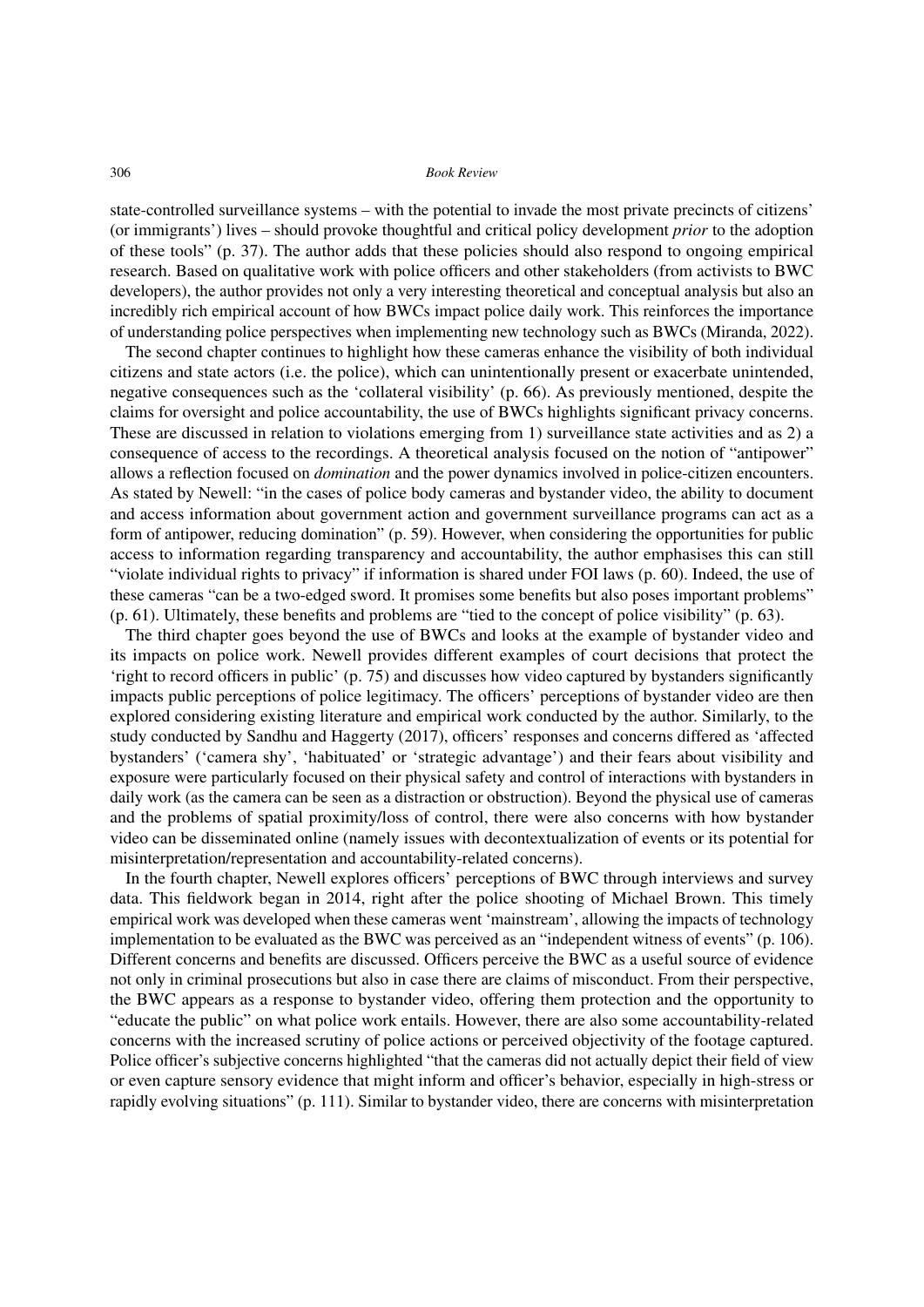state-controlled surveillance systems – with the potential to invade the most private precincts of citizens' (or immigrants') lives – should provoke thoughtful and critical policy development *prior* to the adoption of these tools" (p. 37). The author adds that these policies should also respond to ongoing empirical research. Based on qualitative work with police officers and other stakeholders (from activists to BWC developers), the author provides not only a very interesting theoretical and conceptual analysis but also an incredibly rich empirical account of how BWCs impact police daily work. This reinforces the importance of understanding police perspectives when implementing new technology such as BWCs (Miranda, 2022).

The second chapter continues to highlight how these cameras enhance the visibility of both individual citizens and state actors (i.e. the police), which can unintentionally present or exacerbate unintended, negative consequences such as the 'collateral visibility' (p. 66). As previously mentioned, despite the claims for oversight and police accountability, the use of BWCs highlights significant privacy concerns. These are discussed in relation to violations emerging from 1) surveillance state activities and as 2) a consequence of access to the recordings. A theoretical analysis focused on the notion of "antipower" allows a reflection focused on *domination* and the power dynamics involved in police-citizen encounters. As stated by Newell: "in the cases of police body cameras and bystander video, the ability to document and access information about government action and government surveillance programs can act as a form of antipower, reducing domination" (p. 59). However, when considering the opportunities for public access to information regarding transparency and accountability, the author emphasises this can still "violate individual rights to privacy" if information is shared under FOI laws (p. 60). Indeed, the use of these cameras "can be a two-edged sword. It promises some benefits but also poses important problems" (p. 61). Ultimately, these benefits and problems are "tied to the concept of police visibility" (p. 63).

The third chapter goes beyond the use of BWCs and looks at the example of bystander video and its impacts on police work. Newell provides different examples of court decisions that protect the 'right to record officers in public' (p. 75) and discusses how video captured by bystanders significantly impacts public perceptions of police legitimacy. The officers' perceptions of bystander video are then explored considering existing literature and empirical work conducted by the author. Similarly, to the study conducted by Sandhu and Haggerty (2017), officers' responses and concerns differed as 'affected bystanders' ('camera shy', 'habituated' or 'strategic advantage') and their fears about visibility and exposure were particularly focused on their physical safety and control of interactions with bystanders in daily work (as the camera can be seen as a distraction or obstruction). Beyond the physical use of cameras and the problems of spatial proximity/loss of control, there were also concerns with how bystander video can be disseminated online (namely issues with decontextualization of events or its potential for misinterpretation/representation and accountability-related concerns).

In the fourth chapter, Newell explores officers' perceptions of BWC through interviews and survey data. This fieldwork began in 2014, right after the police shooting of Michael Brown. This timely empirical work was developed when these cameras went 'mainstream', allowing the impacts of technology implementation to be evaluated as the BWC was perceived as an "independent witness of events" (p. 106). Different concerns and benefits are discussed. Officers perceive the BWC as a useful source of evidence not only in criminal prosecutions but also in case there are claims of misconduct. From their perspective, the BWC appears as a response to bystander video, offering them protection and the opportunity to "educate the public" on what police work entails. However, there are also some accountability-related concerns with the increased scrutiny of police actions or perceived objectivity of the footage captured. Police officer's subjective concerns highlighted "that the cameras did not actually depict their field of view or even capture sensory evidence that might inform and officer's behavior, especially in high-stress or rapidly evolving situations" (p. 111). Similar to bystander video, there are concerns with misinterpretation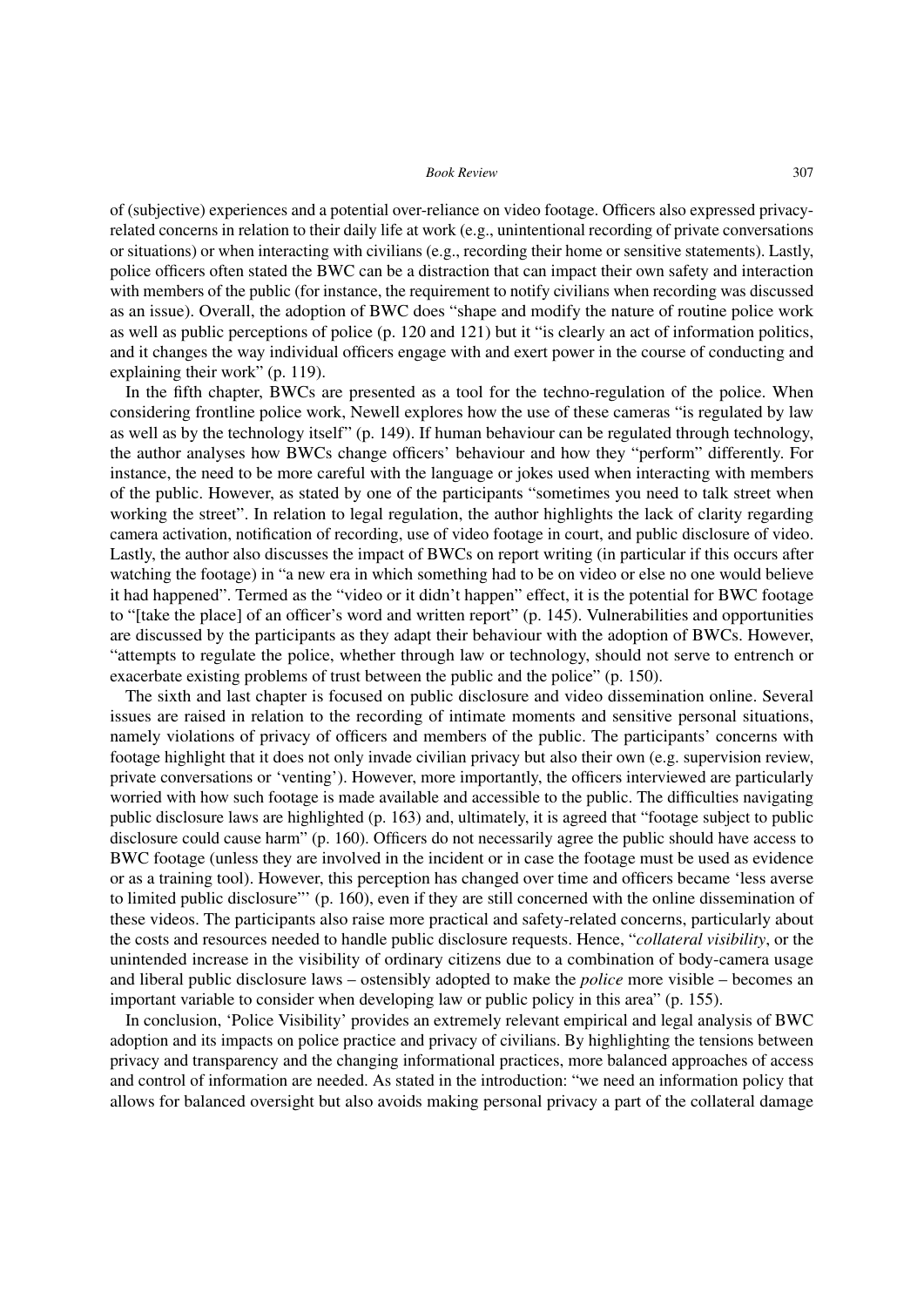of (subjective) experiences and a potential over-reliance on video footage. Officers also expressed privacyrelated concerns in relation to their daily life at work (e.g., unintentional recording of private conversations or situations) or when interacting with civilians (e.g., recording their home or sensitive statements). Lastly, police officers often stated the BWC can be a distraction that can impact their own safety and interaction with members of the public (for instance, the requirement to notify civilians when recording was discussed as an issue). Overall, the adoption of BWC does "shape and modify the nature of routine police work as well as public perceptions of police (p. 120 and 121) but it "is clearly an act of information politics, and it changes the way individual officers engage with and exert power in the course of conducting and explaining their work" (p. 119).

In the fifth chapter, BWCs are presented as a tool for the techno-regulation of the police. When considering frontline police work, Newell explores how the use of these cameras "is regulated by law as well as by the technology itself" (p. 149). If human behaviour can be regulated through technology, the author analyses how BWCs change officers' behaviour and how they "perform" differently. For instance, the need to be more careful with the language or jokes used when interacting with members of the public. However, as stated by one of the participants "sometimes you need to talk street when working the street". In relation to legal regulation, the author highlights the lack of clarity regarding camera activation, notification of recording, use of video footage in court, and public disclosure of video. Lastly, the author also discusses the impact of BWCs on report writing (in particular if this occurs after watching the footage) in "a new era in which something had to be on video or else no one would believe it had happened". Termed as the "video or it didn't happen" effect, it is the potential for BWC footage to "[take the place] of an officer's word and written report" (p. 145). Vulnerabilities and opportunities are discussed by the participants as they adapt their behaviour with the adoption of BWCs. However, "attempts to regulate the police, whether through law or technology, should not serve to entrench or exacerbate existing problems of trust between the public and the police" (p. 150).

The sixth and last chapter is focused on public disclosure and video dissemination online. Several issues are raised in relation to the recording of intimate moments and sensitive personal situations, namely violations of privacy of officers and members of the public. The participants' concerns with footage highlight that it does not only invade civilian privacy but also their own (e.g. supervision review, private conversations or 'venting'). However, more importantly, the officers interviewed are particularly worried with how such footage is made available and accessible to the public. The difficulties navigating public disclosure laws are highlighted (p. 163) and, ultimately, it is agreed that "footage subject to public disclosure could cause harm" (p. 160). Officers do not necessarily agree the public should have access to BWC footage (unless they are involved in the incident or in case the footage must be used as evidence or as a training tool). However, this perception has changed over time and officers became 'less averse to limited public disclosure"' (p. 160), even if they are still concerned with the online dissemination of these videos. The participants also raise more practical and safety-related concerns, particularly about the costs and resources needed to handle public disclosure requests. Hence, "*collateral visibility*, or the unintended increase in the visibility of ordinary citizens due to a combination of body-camera usage and liberal public disclosure laws – ostensibly adopted to make the *police* more visible – becomes an important variable to consider when developing law or public policy in this area" (p. 155).

In conclusion, 'Police Visibility' provides an extremely relevant empirical and legal analysis of BWC adoption and its impacts on police practice and privacy of civilians. By highlighting the tensions between privacy and transparency and the changing informational practices, more balanced approaches of access and control of information are needed. As stated in the introduction: "we need an information policy that allows for balanced oversight but also avoids making personal privacy a part of the collateral damage